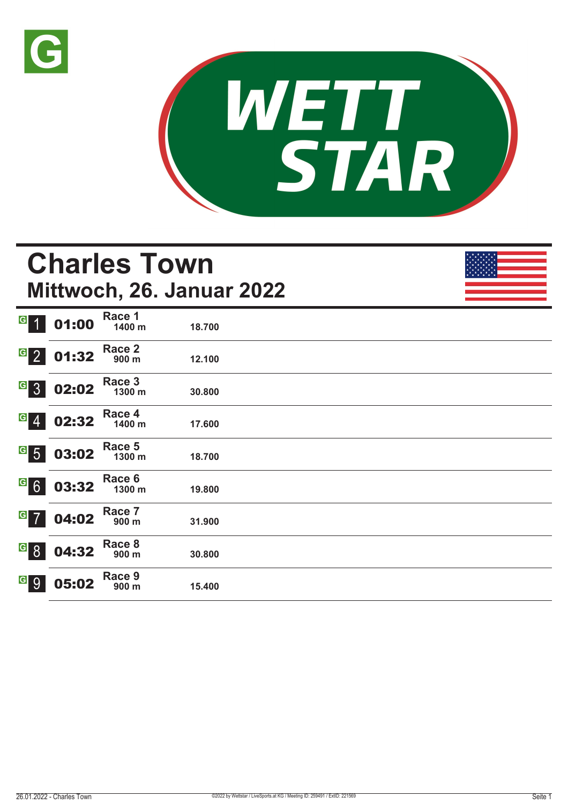



## **Charles Town Mittwoch, 26. Januar 2022**

| $\overline{G}$<br>$\overline{1}$ | 01:00 | Race 1<br>1400 m | 18.700 |
|----------------------------------|-------|------------------|--------|
| $\overline{G}$ 2                 | 01:32 | Race 2<br>900 m  | 12.100 |
| $G_{3}$                          | 02:02 | Race 3<br>1300 m | 30.800 |
| $G \ 4$                          | 02:32 | Race 4<br>1400 m | 17.600 |
| $\frac{G}{5}$                    | 03:02 | Race 5<br>1300 m | 18.700 |
| $G$ 6                            | 03:32 | Race 6<br>1300 m | 19.800 |
| $G$ 7                            | 04:02 | Race 7<br>900 m  | 31.900 |
| $\overline{G}$ 8                 | 04:32 | Race 8<br>900 m  | 30.800 |
| <u>a</u> 9                       | 05:02 | Race 9<br>900 m  | 15.400 |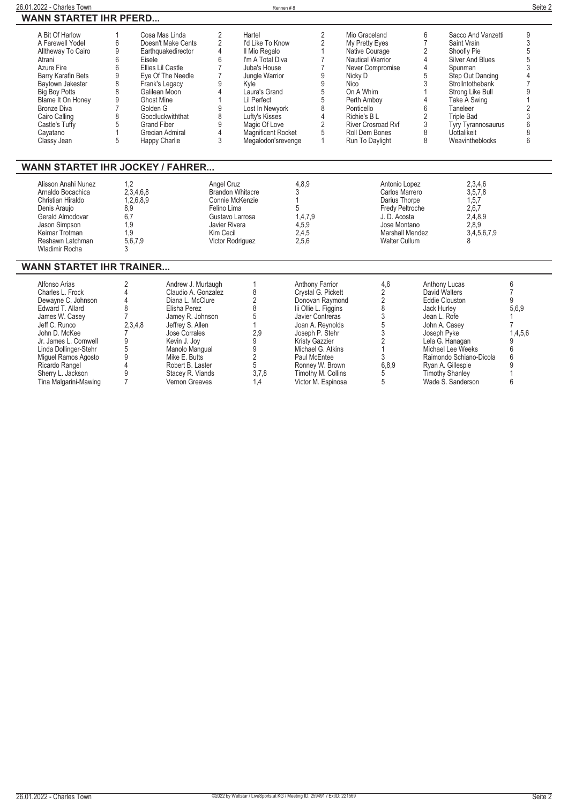| 26.01.2022 - Charles Town                                                                                                                                                                                                                                    |                                                                                                                                                        |                                                                                                                                                                                                                                   |                                                                                                                                       |                                                                                                                                                                                                                                             | Rennen#8                                              |                                                                                                                                                                                                                                                    |                                                                                                                                                                                                                                          |                                                                                                           |                                                                                                                                                                                                                                                             | Seite 2                                                                               |
|--------------------------------------------------------------------------------------------------------------------------------------------------------------------------------------------------------------------------------------------------------------|--------------------------------------------------------------------------------------------------------------------------------------------------------|-----------------------------------------------------------------------------------------------------------------------------------------------------------------------------------------------------------------------------------|---------------------------------------------------------------------------------------------------------------------------------------|---------------------------------------------------------------------------------------------------------------------------------------------------------------------------------------------------------------------------------------------|-------------------------------------------------------|----------------------------------------------------------------------------------------------------------------------------------------------------------------------------------------------------------------------------------------------------|------------------------------------------------------------------------------------------------------------------------------------------------------------------------------------------------------------------------------------------|-----------------------------------------------------------------------------------------------------------|-------------------------------------------------------------------------------------------------------------------------------------------------------------------------------------------------------------------------------------------------------------|---------------------------------------------------------------------------------------|
| <b>WANN STARTET IHR PFERD</b>                                                                                                                                                                                                                                |                                                                                                                                                        |                                                                                                                                                                                                                                   |                                                                                                                                       |                                                                                                                                                                                                                                             |                                                       |                                                                                                                                                                                                                                                    |                                                                                                                                                                                                                                          |                                                                                                           |                                                                                                                                                                                                                                                             |                                                                                       |
| A Bit Of Harlow<br>A Farewell Yodel<br>Alltheway To Cairo<br>Atrani<br>Azure Fire<br>Barry Karafin Bets<br>Baytown Jakester<br><b>Big Boy Potts</b><br>Blame It On Honey<br><b>Bronze Diva</b><br>Cairo Calling<br>Castle's Tuffy<br>Cayatano<br>Classy Jean | 6<br>9<br>6<br>Eisele<br>6<br>9<br>8<br>8<br>9<br><b>Ghost Mine</b><br>$\overline{7}$<br>Golden G<br>8<br>5<br><b>Grand Fiber</b><br>$\mathbf{1}$<br>5 | Cosa Mas Linda<br>Doesn't Make Cents<br>Earthquakedirector<br>Ellies Lil Castle<br>Eye Of The Needle<br>Frank's Legacy<br>Galilean Moon<br>Goodluckwiththat<br>Grecian Admiral<br>Happy Charlie                                   | 2<br>2<br>4<br>6<br>$\overline{7}$<br>$\overline{7}$<br>9<br>4<br>9<br>8<br>9<br>4<br>3                                               | Hartel<br>I'd Like To Know<br>Il Mio Regalo<br>I'm A Total Diva<br>Juba's House<br>Jungle Warrior<br>Kvle<br>Laura's Grand<br>Lil Perfect<br>Lost In Newyork<br>Lufty's Kisses<br>Magic Of Love<br>Magnificent Rocket<br>Megalodon'srevenge |                                                       | $\overline{2}$<br>$\overline{2}$<br>$\mathbf{1}$<br>$\overline{7}$<br>$\overline{7}$<br>9<br>9<br>5<br>5<br>8<br>$\overline{4}$<br>$\overline{2}$<br>$\sqrt{5}$<br>$\mathbf{1}$                                                                    | Mio Graceland<br>My Pretty Eyes<br>Native Courage<br>Nautical Warrior<br>Never Compromise<br>Nicky D<br><b>Nico</b><br>On A Whim<br>Perth Ambov<br>Ponticello<br>Richie's B L<br>River Crosroad Rvf<br>Roll Dem Bones<br>Run To Daylight | 6<br>$\overline{7}$<br>$\overline{2}$<br>4<br>4<br>5<br>3<br>1<br>4<br>6<br>$\overline{2}$<br>3<br>8<br>8 | Sacco And Vanzetti<br>Saint Vrain<br>Shoofly Pie<br>Silver And Blues<br>Spunman<br>Step Out Dancing<br>Strollntothebank<br>Strong Like Bull<br>Take A Swing<br>Taneleer<br><b>Triple Bad</b><br><b>Tyry Tyrannosaurus</b><br>Uottalikeit<br>Weavintheblocks | 9<br>3<br>5<br>4<br>9<br>3<br>6<br>8<br>6                                             |
| <b>WANN STARTET IHR JOCKEY / FAHRER</b>                                                                                                                                                                                                                      |                                                                                                                                                        |                                                                                                                                                                                                                                   |                                                                                                                                       |                                                                                                                                                                                                                                             |                                                       |                                                                                                                                                                                                                                                    |                                                                                                                                                                                                                                          |                                                                                                           |                                                                                                                                                                                                                                                             |                                                                                       |
| Alisson Anahi Nunez<br>Arnaldo Bocachica<br>Christian Hiraldo<br>Denis Araujo<br>Gerald Almodovar<br>Jason Simpson<br>Keimar Trotman<br>Reshawn Latchman<br><b>Wladimir Rocha</b>                                                                            | 1.2<br>2,3,4,6,8<br>1,2,6,8,9<br>8,9<br>6,7<br>1,9<br>1,9<br>5,6,7,9<br>3                                                                              |                                                                                                                                                                                                                                   | Angel Cruz<br>Brandon Whitacre<br>Connie McKenzie<br>Felino Lima<br>Gustavo Larrosa<br>Javier Rivera<br>Kim Cecil<br>Victor Rodriguez |                                                                                                                                                                                                                                             | 4.8.9<br>3<br>5<br>1.4.7.9<br>4,5,9<br>2,4,5<br>2.5.6 |                                                                                                                                                                                                                                                    | Antonio Lopez<br>Carlos Marrero<br>Darius Thorpe<br>Fredy Peltroche<br>J. D. Acosta<br>Jose Montano<br><b>Walter Cullum</b>                                                                                                              | Marshall Mendez                                                                                           | 2,3,4,6<br>3,5,7,8<br>1.5.7<br>2.6.7<br>2.4.8.9<br>2,8,9<br>3,4,5,6,7,9<br>8                                                                                                                                                                                |                                                                                       |
| <b>WANN STARTET IHR TRAINER</b>                                                                                                                                                                                                                              |                                                                                                                                                        |                                                                                                                                                                                                                                   |                                                                                                                                       |                                                                                                                                                                                                                                             |                                                       |                                                                                                                                                                                                                                                    |                                                                                                                                                                                                                                          |                                                                                                           |                                                                                                                                                                                                                                                             |                                                                                       |
| Alfonso Arias<br>Charles L. Frock<br>Dewayne C. Johnson<br>Edward T. Allard<br>James W. Casey<br>Jeff C. Runco<br>John D. McKee<br>Jr. James L. Cornwell<br>Linda Dollinger-Stehr<br>Miguel Ramos Agosto<br>Ricardo Rangel<br>Sherry L. Jackson              | 2<br>$\overline{4}$<br>4<br>8<br>$\overline{7}$<br>2.3.4.8<br>9<br>5<br>9<br>9                                                                         | Andrew J. Murtaugh<br>Claudio A. Gonzalez<br>Diana L. McClure<br>Elisha Perez<br>Jamey R. Johnson<br>Jeffrey S. Allen<br>Jose Corrales<br>Kevin J. Joy<br>Manolo Mangual<br>Mike E. Butts<br>Robert B. Laster<br>Stacey R. Viands |                                                                                                                                       | 1<br>8<br>$\overline{2}$<br>8<br>5<br>2.9<br>9<br>9<br>$\overline{2}$<br>5<br>3.7.8                                                                                                                                                         |                                                       | Anthony Farrior<br>Crystal G. Pickett<br>Donovan Raymond<br>lii Ollie L. Figgins<br>Javier Contreras<br>Joan A. Revnolds<br>Joseph P. Stehr<br><b>Kristy Gazzier</b><br>Michael G. Atkins<br>Paul McEntee<br>Ronney W. Brown<br>Timothy M. Collins | 4,6<br>2<br>$\overline{2}$<br>8<br>3<br>$\overline{5}$<br>3<br>$\overline{2}$<br>$\mathbf{1}$<br>3<br>6.8.9<br>5                                                                                                                         |                                                                                                           | <b>Anthony Lucas</b><br>David Walters<br><b>Eddie Clouston</b><br>Jack Hurley<br>Jean L. Rofe<br>John A. Casev<br>Joseph Pyke<br>Lela G. Hanagan<br>Michael Lee Weeks<br>Raimondo Schiano-Dicola<br>Ryan A. Gillespie<br><b>Timothy Shanley</b>             | 6<br>$\overline{7}$<br>9<br>5.6.9<br>7<br>1.4.5.6<br>9<br>6<br>6<br>9<br>$\mathbf{1}$ |

**Tina Malgarini-Mawing 7 Vernon Greaves 1,4 Victor M. Espinosa 5 Wade S. Sanderson 6**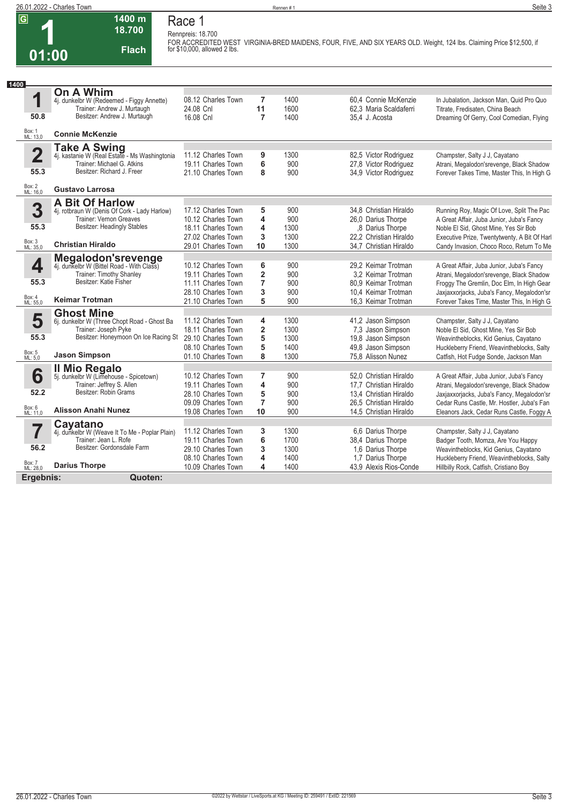#### **26.01.2022 - Charles Town** Rennen # 1 **Seite 3**

**1**<br>1 **01:00**

# **Race 1**

**1400 m 18.700** 

**Flach**

**Rennpreis: 18.700**

**FOR ACCREDITED WEST VIRGINIA-BRED MAIDENS, FOUR, FIVE, AND SIX YEARS OLD. Weight, 124 lbs. Claiming Price \$12,500, if for \$10,000, allowed 2 lbs.** 

| 1400                    |                                                                  |                    |                         |      |                        |                                              |
|-------------------------|------------------------------------------------------------------|--------------------|-------------------------|------|------------------------|----------------------------------------------|
|                         | On A Whim                                                        |                    |                         |      |                        |                                              |
| 1                       | 4j. dunkelbr W (Redeemed - Figgy Annette)                        | 08.12 Charles Town | 7                       | 1400 | 60.4 Connie McKenzie   | In Jubalation, Jackson Man, Quid Pro Quo     |
| 50.8                    | Trainer: Andrew J. Murtaugh<br>Besitzer: Andrew J. Murtaugh      | 24.08 Cnl          | 11                      | 1600 | 62,3 Maria Scaldaferri | Titrate, Fredisaten, China Beach             |
|                         |                                                                  | 16.08 Cnl          | $\overline{7}$          | 1400 | 35.4 J. Acosta         | Dreaming Of Gerry, Cool Comedian, Flying     |
| Box: 1<br>ML: 13,0      | <b>Connie McKenzie</b>                                           |                    |                         |      |                        |                                              |
|                         | <b>Take A Swing</b>                                              |                    |                         |      |                        |                                              |
| $\overline{\mathbf{2}}$ | 4j. kastanie W (Real Estate - Ms Washingtonia                    | 11.12 Charles Town | 9                       | 1300 | 82,5 Victor Rodriguez  | Champster, Salty J J, Cayatano               |
|                         | Trainer: Michael G. Atkins<br>Besitzer: Richard J. Freer         | 19.11 Charles Town | 6                       | 900  | 27,8 Victor Rodriguez  | Atrani, Megalodon'srevenge, Black Shadow     |
| 55.3                    |                                                                  | 21.10 Charles Town | 8                       | 900  | 34,9 Victor Rodriguez  | Forever Takes Time, Master This, In High G   |
| Box: 2<br>ML: 16,0      | <b>Gustavo Larrosa</b>                                           |                    |                         |      |                        |                                              |
|                         | <b>A Bit Of Harlow</b>                                           |                    |                         |      |                        |                                              |
| 3                       | 4j. rotbraun W (Denis Of Cork - Lady Harlow)                     | 17.12 Charles Town | 5                       | 900  | 34.8 Christian Hiraldo | Running Roy, Magic Of Love, Split The Pac    |
|                         | Trainer: Vernon Greaves                                          | 10.12 Charles Town | 4                       | 900  | 26.0 Darius Thorpe     | A Great Affair, Juba Junior, Juba's Fancy    |
| 55.3                    | <b>Besitzer: Headingly Stables</b>                               | 18.11 Charles Town | 4                       | 1300 | .8 Darius Thorpe       | Noble El Sid, Ghost Mine, Yes Sir Bob        |
|                         | <b>Christian Hiraldo</b>                                         | 27.02 Charles Town | 3                       | 1300 | 22.2 Christian Hiraldo | Executive Prize, Twentytwenty, A Bit Of Harl |
| Box: 3<br>ML: 35,0      |                                                                  | 29.01 Charles Town | 10                      | 1300 | 34.7 Christian Hiraldo | Candy Invasion, Choco Roco, Return To Me     |
|                         | Megalodon's revenge<br>4j. dunkelbr W (Bittel Road - With Class) |                    |                         |      |                        |                                              |
| 4                       |                                                                  | 10.12 Charles Town | 6                       | 900  | 29.2 Keimar Trotman    | A Great Affair, Juba Junior, Juba's Fancy    |
|                         | Trainer: Timothy Shanley                                         | 19.11 Charles Town | $\overline{2}$          | 900  | 3.2 Keimar Trotman     | Atrani, Megalodon'srevenge, Black Shadow     |
| 55.3                    | Besitzer: Katie Fisher                                           | 11.11 Charles Town | $\overline{7}$          | 900  | 80.9 Keimar Trotman    | Froqqy The Gremlin, Doc Elm, In High Gear    |
| Box: 4                  |                                                                  | 28.10 Charles Town | 3                       | 900  | 10.4 Keimar Trotman    | Jaxjaxxorjacks, Juba's Fancy, Megalodon'sr   |
| ML: 55,0                | <b>Keimar Trotman</b>                                            | 21.10 Charles Town | 5                       | 900  | 16,3 Keimar Trotman    | Forever Takes Time, Master This, In High G   |
|                         | <b>Ghost Mine</b>                                                |                    |                         |      |                        |                                              |
| 5                       | 6j. dunkelbr W (Three Chopt Road - Ghost Ba                      | 11.12 Charles Town | 4                       | 1300 | 41,2 Jason Simpson     | Champster, Salty J J, Cayatano               |
|                         | Trainer: Joseph Pyke                                             | 18.11 Charles Town | $\overline{\mathbf{2}}$ | 1300 | 7,3 Jason Simpson      | Noble El Sid, Ghost Mine, Yes Sir Bob        |
| 55.3                    | Besitzer: Honeymoon On Ice Racing St                             | 29.10 Charles Town | 5                       | 1300 | 19,8 Jason Simpson     | Weavintheblocks, Kid Genius, Cayatano        |
|                         |                                                                  | 08.10 Charles Town | 5                       | 1400 | 49,8 Jason Simpson     | Huckleberry Friend, Weavintheblocks, Salty   |
| Box: 5<br>ML: 5,0       | <b>Jason Simpson</b>                                             | 01.10 Charles Town | 8                       | 1300 | 75,8 Alisson Nunez     | Catfish, Hot Fudge Sonde, Jackson Man        |
|                         |                                                                  |                    |                         |      |                        |                                              |
| 6                       | Il Mio Regalo<br>5j. dunkelbr W (Limehouse - Spicetown)          | 10.12 Charles Town | 7                       | 900  | 52.0 Christian Hiraldo | A Great Affair, Juba Junior, Juba's Fancy    |
|                         | Trainer: Jeffrey S. Allen                                        | 19.11 Charles Town | 4                       | 900  | 17,7 Christian Hiraldo | Atrani, Megalodon'srevenge, Black Shadow     |
| 52.2                    | Besitzer: Robin Grams                                            | 28.10 Charles Town | 5                       | 900  | 13.4 Christian Hiraldo | Jaxjaxxorjacks, Juba's Fancy, Megalodon'sr   |
|                         |                                                                  | 09.09 Charles Town | $\overline{7}$          | 900  | 26,5 Christian Hiraldo | Cedar Runs Castle, Mr. Hostler, Juba's Fan   |
| Box: 6<br>ML: 11,0      | <b>Alisson Anahi Nunez</b>                                       | 19.08 Charles Town | 10                      | 900  | 14.5 Christian Hiraldo | Eleanors Jack, Cedar Runs Castle, Foggy A    |
|                         | Cayatano                                                         |                    |                         |      |                        |                                              |
| 7                       | 4j. dunkelbr W (Weave It To Me - Poplar Plain)                   | 11.12 Charles Town | 3                       | 1300 | 6,6 Darius Thorpe      | Champster, Salty J J, Cayatano               |
|                         | Trainer: Jean L. Rofe                                            | 19.11 Charles Town | 6                       | 1700 | 38,4 Darius Thorpe     | Badger Tooth, Momza, Are You Happy           |
| 56.2                    | Besitzer: Gordonsdale Farm                                       | 29.10 Charles Town | 3                       | 1300 | 1,6 Darius Thorpe      | Weavintheblocks, Kid Genius, Cayatano        |
|                         |                                                                  | 08.10 Charles Town | 4                       | 1400 | 1.7 Darius Thorpe      | Huckleberry Friend, Weavintheblocks, Salty   |
| Box: 7<br>ML: 28,0      | <b>Darius Thorpe</b>                                             | 10.09 Charles Town | 4                       | 1400 | 43.9 Alexis Rios-Conde | Hillbilly Rock, Catfish, Cristiano Boy       |
| Ergebnis:               | Quoten:                                                          |                    |                         |      |                        |                                              |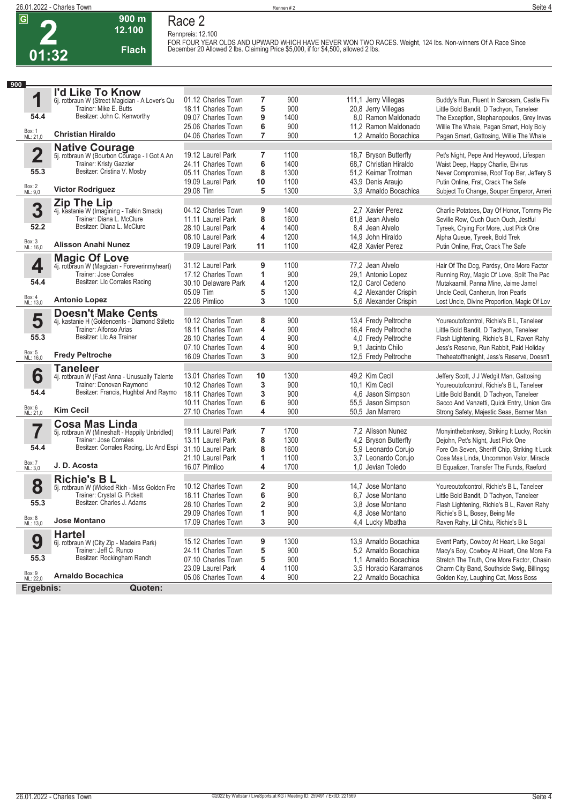

#### **900 m 12.100 Flach Race 2**

**Rennpreis: 12.100 FOR FOUR YEAR OLDS AND UPWARD WHICH HAVE NEVER WON TWO RACES. Weight, 124 lbs. Non-winners Of A Race Since December 20 Allowed 2 lbs. Claiming Price \$5,000, if for \$4,500, allowed 2 lbs.** 

| 900                     |                                                      |                                         |        |             |                                                |                                                                                   |
|-------------------------|------------------------------------------------------|-----------------------------------------|--------|-------------|------------------------------------------------|-----------------------------------------------------------------------------------|
|                         | I'd Like To Know                                     |                                         |        |             |                                                |                                                                                   |
| 1                       | 6j. rotbraun W (Street Magician - A Lover's Qu       | 01.12 Charles Town                      | 7      | 900         | 111,1 Jerry Villegas                           | Buddy's Run, Fluent In Sarcasm, Castle Fiv                                        |
|                         | Trainer: Mike E. Butts                               | 18.11 Charles Town                      | 5      | 900         | 20,8 Jerry Villegas                            | Little Bold Bandit, D Tachyon, Taneleer                                           |
| 54.4                    | Besitzer: John C. Kenworthy                          | 09.07 Charles Town                      | 9      | 1400        | 8,0 Ramon Maldonado                            | The Exception, Stephanopoulos, Grey Invas                                         |
|                         |                                                      | 25.06 Charles Town                      | 6      | 900         | 11,2 Ramon Maldonado                           | Willie The Whale, Pagan Smart, Holy Boly                                          |
| Box: 1<br>ML: 21,0      | <b>Christian Hiraldo</b>                             | 04.06 Charles Town                      | 7      | 900         | 1,2 Arnaldo Bocachica                          | Pagan Smart, Gattosing, Willie The Whale                                          |
|                         | <b>Native Courage</b>                                |                                         |        |             |                                                |                                                                                   |
| $\overline{\mathbf{2}}$ | 5j. rotbraun W (Bourbon Courage - I Got A An         | 19.12 Laurel Park                       | 7      | 1100        | 18,7 Bryson Butterfly                          | Pet's Night, Pepe And Heywood, Lifespan                                           |
|                         | Trainer: Kristy Gazzier                              | 24.11 Charles Town                      | 6      | 1400        | 68,7 Christian Hiraldo                         | Waist Deep, Happy Charlie, Elvirus                                                |
| 55.3                    | Besitzer: Cristina V. Mosby                          | 05.11 Charles Town                      | 8      | 1300        | 51.2 Keimar Trotman                            | Never Compromise, Roof Top Bar, Jeffery S                                         |
|                         |                                                      | 19.09 Laurel Park                       | 10     | 1100        | 43,9 Denis Araujo                              | Putin Online, Frat, Crack The Safe                                                |
| Box: 2<br>ML: 9,0       | <b>Victor Rodriguez</b>                              | 29.08 Tim                               | 5      | 1300        | 3,9 Arnaldo Bocachica                          | Subject To Change, Souper Emperor, Ameri                                          |
|                         | Zip The Lip                                          |                                         |        |             |                                                |                                                                                   |
| 3                       | 4j. kastanie W (Imagining - Talkin Smack)            | 04.12 Charles Town                      | 9      | 1400        | 2.7 Xavier Perez                               | Charlie Potatoes, Day Of Honor, Tommy Pie                                         |
|                         | Trainer: Diana L. McClure                            | 11.11 Laurel Park                       | 8      | 1600        | 61,8 Jean Alvelo                               | Seville Row, Ouch Ouch Ouch, Jestful                                              |
| 52.2                    | Besitzer: Diana L. McClure                           | 28.10 Laurel Park                       | 4      | 1400        | 8.4 Jean Alvelo                                | Tyreek, Crying For More, Just Pick One                                            |
|                         |                                                      | 08.10 Laurel Park                       | 4      | 1200        | 14,9 John Hiraldo                              | Alpha Queue, Tyreek, Bold Trek                                                    |
| Box: 3<br>ML: 16,0      | Alisson Anahi Nunez                                  | 19.09 Laurel Park                       | 11     | 1100        | 42,8 Xavier Perez                              | Putin Online, Frat, Crack The Safe                                                |
|                         | <b>Magic Of Love</b>                                 |                                         |        |             |                                                |                                                                                   |
| 4                       | 4j. rotbraun W (Magician - Foreverinmyheart)         | 31.12 Laurel Park                       | 9      | 1100        | 77,2 Jean Alvelo                               | Hair Of The Dog, Pardsy, One More Factor                                          |
|                         | Trainer: Jose Corrales                               | 17.12 Charles Town                      | 1      | 900         | 29,1 Antonio Lopez                             | Running Roy, Magic Of Love, Split The Pac                                         |
| 54.4                    | Besitzer: Llc Corrales Racing                        | 30.10 Delaware Park                     | 4      | 1200        | 12,0 Carol Cedeno                              | Mutakaamil, Panna Mine, Jaime Jamel                                               |
|                         |                                                      | 05.09 Tim                               | 5      | 1300        | 4,2 Alexander Crispin                          | Uncle Cecil, Canherun, Iron Pearls                                                |
| Box: 4<br>ML: 13,0      | <b>Antonio Lopez</b>                                 | 22.08 Pimlico                           | 3      | 1000        | 5,6 Alexander Crispin                          | Lost Uncle, Divine Proportion, Magic Of Lov                                       |
|                         | <b>Doesn't Make Cents</b>                            |                                         |        |             |                                                |                                                                                   |
| 5                       | 4j. kastanie H (Goldencents - Diamond Stiletto       | 10.12 Charles Town                      | 8      | 900         | 13,4 Fredy Peltroche                           | Youreoutofcontrol, Richie's B L, Taneleer                                         |
|                         | Trainer: Alfonso Arias                               | 18.11 Charles Town                      | 4      | 900         | 16,4 Fredy Peltroche                           | Little Bold Bandit, D Tachyon, Taneleer                                           |
| 55.3                    | Besitzer: Llc Aa Trainer                             | 28.10 Charles Town                      | 4      | 900         | 4,0 Fredy Peltroche                            | Flash Lightening, Richie's B L, Raven Rahy                                        |
|                         |                                                      | 07.10 Charles Town                      | 4      | 900         | 9.1 Jacinto Chilo                              | Jess's Reserve, Run Rabbit, Paid Holiday                                          |
| Box: 5<br>ML: 16,0      | <b>Fredy Peltroche</b>                               | 16.09 Charles Town                      | 3      | 900         | 12,5 Fredy Peltroche                           | Theheatofthenight, Jess's Reserve, Doesn't                                        |
|                         | <b>Taneleer</b>                                      |                                         |        |             |                                                |                                                                                   |
| 6                       | 4j. rotbraun W (Fast Anna - Unusually Talente        | 13.01 Charles Town                      | 10     | 1300        | 49,2 Kim Cecil                                 | Jeffery Scott, J J Wedgit Man, Gattosing                                          |
|                         | Trainer: Donovan Raymond                             | 10.12 Charles Town                      | 3      | 900         | 10,1 Kim Cecil                                 | Youreoutofcontrol, Richie's B L, Taneleer                                         |
| 54.4                    | Besitzer: Francis, Hughbal And Raymo                 | 18.11 Charles Town                      | 3      | 900         | 4,6 Jason Simpson                              | Little Bold Bandit, D Tachyon, Taneleer                                           |
|                         |                                                      | 10.11 Charles Town                      | 6      | 900         | 55,5 Jason Simpson                             | Sacco And Vanzetti, Quick Entry, Union Gra                                        |
| Box: 6<br>ML: 21,0      | <b>Kim Cecil</b>                                     | 27.10 Charles Town                      | 4      | 900         | 50,5 Jan Marrero                               | Strong Safety, Majestic Seas, Banner Man                                          |
|                         | <b>Cosa Mas Linda</b>                                |                                         |        |             |                                                |                                                                                   |
| 7                       | 5j. rotbraun W (Mineshaft - Happily Unbridled)       | 19.11 Laurel Park                       | 7      | 1700        | 7,2 Alisson Nunez                              | Monyinthebanksey, Striking It Lucky, Rockin                                       |
|                         | Trainer: Jose Corrales                               | 13.11 Laurel Park                       | 8      | 1300        | 4,2 Bryson Butterfly                           | Dejohn, Pet's Night, Just Pick One                                                |
| 54.4                    | Besitzer: Corrales Racing, Llc And Espi              | 31.10 Laurel Park                       | 8      | 1600        | 5,9 Leonardo Corujo                            | Fore On Seven, Sheriff Chip, Striking It Luck                                     |
|                         |                                                      | 21.10 Laurel Park                       | 1      | 1100        | 3,7 Leonardo Corujo                            | Cosa Mas Linda, Uncommon Valor, Miracle                                           |
| Box: 7<br>ML: 3,0       | J. D. Acosta                                         | 16.07 Pimlico                           | 4      | 1700        | 1.0 Jevian Toledo                              | El Equalizer, Transfer The Funds, Raeford                                         |
|                         | <b>Richie's BL</b>                                   |                                         |        |             |                                                |                                                                                   |
| 8                       | 5j. rotbraun W (Wicked Rich - Miss Golden Fre        | 10.12 Charles Town                      | 2      | 900         | 14,7 Jose Montano                              | Youreoutofcontrol, Richie's B L, Taneleer                                         |
|                         | Trainer: Crystal G. Pickett                          | 18.11 Charles Town                      | 6      | 900         | 6.7 Jose Montano                               | Little Bold Bandit, D Tachyon, Taneleer                                           |
| 55.3                    | Besitzer: Charles J. Adams                           | 28.10 Charles Town                      | 2      | 900         | 3,8 Jose Montano                               | Flash Lightening, Richie's B L, Raven Rahy                                        |
|                         | Jose Montano                                         | 29.09 Charles Town                      | 1      | 900         | 4,8 Jose Montano                               | Richie's B L, Bosey, Being Me                                                     |
| Box: 8<br>ML: 13,0      |                                                      | 17.09 Charles Town                      | 3      | 900         | 4,4 Lucky Mbatha                               | Raven Rahy, Lil Chitu, Richie's B L                                               |
|                         | <b>Hartel</b>                                        |                                         |        |             |                                                |                                                                                   |
| 9                       | 6j. rotbraun W (City Zip - Madeira Park)             | 15.12 Charles Town                      | 9      | 1300        | 13,9 Arnaldo Bocachica                         | Event Party, Cowboy At Heart, Like Segal                                          |
| 55.3                    | Trainer: Jeff C. Runco<br>Besitzer: Rockingham Ranch | 24.11 Charles Town                      | 5      | 900         | 5,2 Arnaldo Bocachica                          | Macy's Boy, Cowboy At Heart, One More Fa                                          |
|                         |                                                      | 07.10 Charles Town                      | 5      | 900         | 1.1 Arnaldo Bocachica                          | Stretch The Truth, One More Factor, Chasin                                        |
| Box: 9<br>ML: 22,0      | <b>Arnaldo Bocachica</b>                             | 23.09 Laurel Park<br>05.06 Charles Town | 4<br>4 | 1100<br>900 | 3.5 Horacio Karamanos<br>2,2 Arnaldo Bocachica | Charm City Band, Southside Swig, Billingsg<br>Golden Key, Laughing Cat, Moss Boss |
|                         |                                                      |                                         |        |             |                                                |                                                                                   |
| Ergebnis:               | Quoten:                                              |                                         |        |             |                                                |                                                                                   |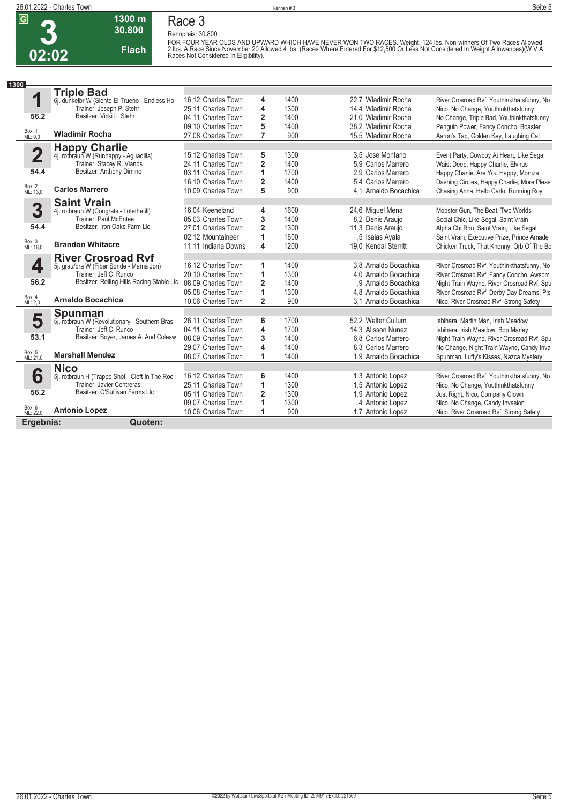

### **Race 3**

**30.800 Flach**

**1300 m**

**Rennpreis: 30.800** FOR FOUR YEAR OLDS AND UPWARD WHICH HAVE NEVER WON TWO RACES. Weight, 124 lbs. Non-winners Of Two Races Allowed<br>2 Ibs. A Race Since November 20 Allowed 4 Ibs. (Races Where Entered For \$12,500 Or Less Not Considered In Weig

| 1300                    |                                                        |                     |                |      |                       |                                            |
|-------------------------|--------------------------------------------------------|---------------------|----------------|------|-----------------------|--------------------------------------------|
|                         | <b>Triple Bad</b>                                      |                     |                |      |                       |                                            |
| 1                       | 6j. dunkelbr W (Siente El Trueno - Endless Ho          | 16.12 Charles Town  | 4              | 1400 | 22.7 Wladimir Rocha   | River Crosroad Rvf, Youthinkthatsfunny, No |
|                         | Trainer: Joseph P. Stehr                               | 25.11 Charles Town  | 4              | 1300 | 14,4 Wladimir Rocha   | Nico, No Change, Youthinkthatsfunny        |
| 56.2                    | Besitzer: Vicki L. Stehr                               | 04.11 Charles Town  | $\overline{2}$ | 1400 | 21.0 Wladimir Rocha   | No Change, Triple Bad, Youthinkthatsfunny  |
|                         |                                                        | 09.10 Charles Town  | 5              | 1400 | 38.2 Wladimir Rocha   | Penquin Power, Fancy Concho, Boaster       |
| Box: 1<br>ML: 9.0       | <b>Wladimir Rocha</b>                                  | 27.08 Charles Town  | $\overline{7}$ | 900  | 15.5 Wladimir Rocha   | Aaron's Tap, Golden Key, Laughing Cat      |
|                         |                                                        |                     |                |      |                       |                                            |
| $\overline{\mathbf{2}}$ | Happy Charlie<br>4j. rotbraun W (Runhappy - Aguadilla) | 15.12 Charles Town  | 5              | 1300 | 3.5 Jose Montano      | Event Party, Cowboy At Heart, Like Segal   |
|                         | Trainer: Stacey R. Viands                              | 24.11 Charles Town  | $\overline{2}$ | 1400 | 5,9 Carlos Marrero    | Waist Deep, Happy Charlie, Elvirus         |
| 54.4                    | Besitzer: Anthony Dimino                               | 03.11 Charles Town  | 1              | 1700 | 2.9 Carlos Marrero    | Happy Charlie, Are You Happy, Momza        |
|                         |                                                        | 16.10 Charles Town  | $\overline{2}$ | 1400 | 5.4 Carlos Marrero    | Dashing Circles, Happy Charlie, More Pleas |
| Box: 2<br>ML: 13,0      | <b>Carlos Marrero</b>                                  | 10.09 Charles Town  | 5              | 900  | 4.1 Arnaldo Bocachica | Chasing Anna, Hello Carlo, Running Roy     |
|                         | <b>Saint Vrain</b>                                     |                     |                |      |                       |                                            |
| 3                       | 4j. rotbraun W (Congrats - Lutethetill)                | 16.04 Keeneland     | 4              | 1600 | 24,6 Miquel Mena      | Mobster Gun, The Beat, Two Worlds          |
|                         | Trainer: Paul McEntee                                  | 05.03 Charles Town  | 3              | 1400 | 8.2 Denis Araujo      | Social Chic, Like Segal, Saint Vrain       |
| 54.4                    | Besitzer: Iron Oaks Farm Llc                           | 27.01 Charles Town  | $\overline{2}$ | 1300 | 11,3 Denis Araujo     | Alpha Chi Rho, Saint Vrain, Like Segal     |
|                         |                                                        | 02.12 Mountaineer   | 1              | 1600 | .5 Isaias Ayala       | Saint Vrain, Executive Prize, Prince Amade |
| Box: 3<br>ML: 16,0      | <b>Brandon Whitacre</b>                                | 11.11 Indiana Downs | 4              | 1200 | 19.0 Kendal Sterritt  | Chicken Truck, That Khenny, Orb Of The Bo  |
|                         | <b>River Crosroad Ryf</b>                              |                     |                |      |                       |                                            |
| 4                       | 5j. grau/bra W (Fiber Sonde - Mama Jon)                | 16.12 Charles Town  | 1              | 1400 | 3,8 Arnaldo Bocachica | River Crosroad Rvf, Youthinkthatsfunny, No |
|                         | Trainer: Jeff C. Runco                                 | 20.10 Charles Town  | 1              | 1300 | 4.0 Arnaldo Bocachica | River Crosroad Rvf, Fancy Concho, Awsom    |
| 56.2                    | Besitzer: Rolling Hills Racing Stable Llc              | 08.09 Charles Town  | $\overline{2}$ | 1400 | ,9 Arnaldo Bocachica  | Night Train Wayne, River Crosroad Rvf, Spu |
|                         |                                                        | 05.08 Charles Town  | 1              | 1300 | 4,8 Arnaldo Bocachica | River Crosroad Rvf, Derby Day Dreams, Pis  |
| Box: 4<br>ML: 2,0       | <b>Arnaldo Bocachica</b>                               | 10.06 Charles Town  | $\overline{2}$ | 900  | 3.1 Arnaldo Bocachica | Nico, River Crosroad Rvf, Strong Safety    |
|                         | <b>Spunman</b>                                         |                     |                |      |                       |                                            |
| 5                       | 5j. rotbraun W (Revolutionary - Southern Bras          | 26.11 Charles Town  | 6              | 1700 | 52,2 Walter Cullum    | Ishihara, Martin Man, Irish Meadow         |
|                         | Trainer: Jeff C. Runco                                 | 04.11 Charles Town  | 4              | 1700 | 14.3 Alisson Nunez    | Ishihara, Irish Meadow, Bop Marley         |
| 53.1                    | Besitzer: Boyer, James A. And Colesw                   | 08.09 Charles Town  | 3              | 1400 | 6.8 Carlos Marrero    | Night Train Wayne, River Crosroad Rvf, Spu |
|                         |                                                        | 29.07 Charles Town  | 4              | 1400 | 8.3 Carlos Marrero    | No Change, Night Train Wayne, Candy Inva   |
| Box: 5<br>ML: 21,0      | <b>Marshall Mendez</b>                                 | 08.07 Charles Town  | 1              | 1400 | 1.9 Arnaldo Bocachica | Spunman, Lufty's Kisses, Nazca Mystery     |
|                         | <b>Nico</b>                                            |                     |                |      |                       |                                            |
| 6                       | 5j. rotbraun H (Trappe Shot - Cleft In The Roc         | 16.12 Charles Town  | 6              | 1400 | 1.3 Antonio Lopez     | River Crosroad Rvf, Youthinkthatsfunny, No |
|                         | Trainer: Javier Contreras                              | 25.11 Charles Town  | 1              | 1300 | 1,5 Antonio Lopez     | Nico, No Change, Youthinkthatsfunny        |
| 56.2                    | Besitzer: O'Sullivan Farms Llc                         | 05.11 Charles Town  | $\overline{2}$ | 1300 | 1.9 Antonio Lopez     | Just Right, Nico, Company Clown            |
|                         |                                                        | 09.07 Charles Town  | 1              | 1300 | ,4 Antonio Lopez      | Nico, No Change, Candy Invasion            |
| Box: 6<br>ML: 22,0      | <b>Antonio Lopez</b>                                   | 10.06 Charles Town  | 1              | 900  | 1,7 Antonio Lopez     | Nico, River Crosroad Rvf, Strong Safety    |
| Ergebnis:               | Quoten:                                                |                     |                |      |                       |                                            |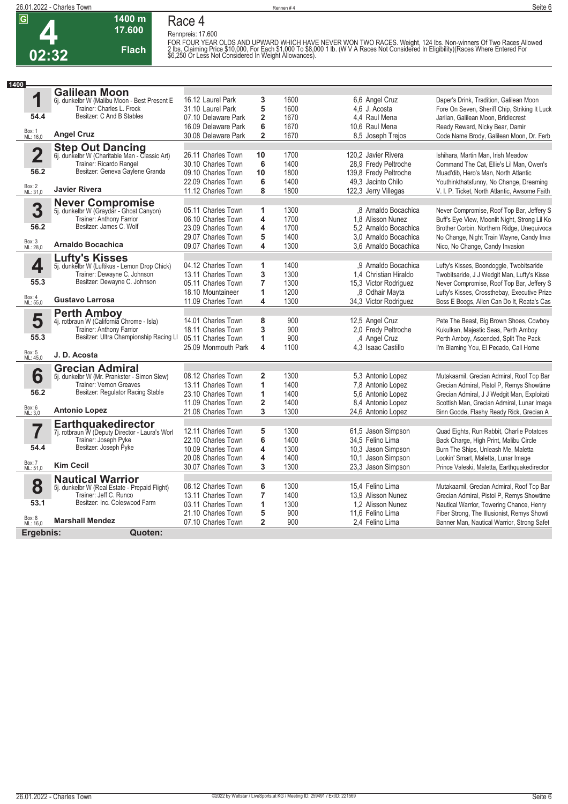

#### **Race 4**

**Rennpreis: 17.600**

**17.600** 



**1400 m**

FOR FOUR YEAR OLDS AND UPWARD WHICH HAVE NEVER WON TWO RACES. Weight, 124 lbs. Non-winners Of Two Races Allowed<br>2 Ibs. Claiming Price \$10,000, For Each \$1,000 To \$8,000 1 lb. (W V A Races Not Considered In Eligibility)(Rac

| 1400                    |                                                                          |                     |                         |      |                       |                                               |
|-------------------------|--------------------------------------------------------------------------|---------------------|-------------------------|------|-----------------------|-----------------------------------------------|
|                         | <b>Galilean Moon</b>                                                     |                     |                         |      |                       |                                               |
| 1                       | 6j. dunkelbr W (Malibu Moon - Best Present E                             | 16.12 Laurel Park   | 3                       | 1600 | 6.6 Angel Cruz        | Daper's Drink, Tradition, Galilean Moon       |
|                         | Trainer: Charles L. Frock                                                | 31.10 Laurel Park   | 5                       | 1600 | 4,6 J. Acosta         | Fore On Seven, Sheriff Chip, Striking It Luck |
| 54.4                    | Besitzer: C And B Stables                                                | 07.10 Delaware Park | $\overline{\mathbf{c}}$ | 1670 | 4.4 Raul Mena         | Jarlian, Galilean Moon, Bridlecrest           |
|                         |                                                                          | 16.09 Delaware Park | 6                       | 1670 | 10.6 Raul Mena        | Ready Reward, Nicky Bear, Damir               |
| Box: 1<br>ML: 16,0      | <b>Angel Cruz</b>                                                        | 30.08 Delaware Park | $\overline{\mathbf{c}}$ | 1670 | 8,5 Joseph Trejos     | Code Name Brody, Galilean Moon, Dr. Ferb      |
|                         |                                                                          |                     |                         |      |                       |                                               |
| $\overline{\mathbf{2}}$ | <b>Step Out Dancing</b><br>6j. dunkelbr W (Charitable Man - Classic Art) | 26.11 Charles Town  | 10                      | 1700 | 120.2 Javier Rivera   | Ishihara, Martin Man, Irish Meadow            |
|                         | Trainer: Ricardo Rangel                                                  | 30.10 Charles Town  | 6                       | 1400 | 28,9 Fredy Peltroche  | Command The Cat, Ellie's Lil Man, Owen's      |
| 56.2                    | Besitzer: Geneva Gaylene Granda                                          | 09.10 Charles Town  | 10                      | 1800 | 139,8 Fredy Peltroche | Muad'dib, Hero's Man, North Atlantic          |
|                         |                                                                          | 22.09 Charles Town  | 6                       | 1400 | 49,3 Jacinto Chilo    | Youthinkthatsfunny, No Change, Dreaming       |
| Box: 2<br>ML: 31,0      | <b>Javier Rivera</b>                                                     | 11.12 Charles Town  | 8                       | 1800 | 122,3 Jerry Villegas  | V. I. P. Ticket, North Atlantic, Awsome Faith |
|                         | <b>Never Compromise</b>                                                  |                     |                         |      |                       |                                               |
| 3                       | 5j. dunkelbr W (Graydar - Ghost Canyon)                                  | 05.11 Charles Town  | 1                       | 1300 | .8 Arnaldo Bocachica  | Never Compromise, Roof Top Bar, Jeffery S     |
|                         | Trainer: Anthony Farrior                                                 | 06.10 Charles Town  | 4                       | 1700 | 1.8 Alisson Nunez     | Buff's Eye View, Moonlit Night, Strong Lil Ko |
| 56.2                    | Besitzer: James C. Wolf                                                  | 23.09 Charles Town  | 4                       | 1700 | 5.2 Arnaldo Bocachica | Brother Corbin, Northern Ridge, Unequivoca    |
|                         |                                                                          | 29.07 Charles Town  | 5                       | 1400 | 3.0 Arnaldo Bocachica | No Change, Night Train Wayne, Candy Inva      |
| Box: 3<br>ML: 28,0      | <b>Arnaldo Bocachica</b>                                                 | 09.07 Charles Town  | 4                       | 1300 | 3.6 Arnaldo Bocachica | Nico, No Change, Candy Invasion               |
|                         | <b>Lufty's Kisses</b>                                                    |                     |                         |      |                       |                                               |
| 4                       | 5j. dunkelbr W (Luftikus - Lemon Drop Chick)                             | 04.12 Charles Town  | 1                       | 1400 | .9 Arnaldo Bocachica  | Lufty's Kisses, Boondoggle, Twobitsaride      |
|                         | Trainer: Dewayne C. Johnson                                              | 13.11 Charles Town  | 3                       | 1300 | 1.4 Christian Hiraldo | Twobitsaride, J J Wedgit Man, Lufty's Kisse   |
| 55.3                    | Besitzer: Dewayne C. Johnson                                             | 05.11 Charles Town  | $\overline{7}$          | 1300 | 15,3 Victor Rodriguez | Never Compromise, Roof Top Bar, Jeffery S     |
|                         |                                                                          | 18.10 Mountaineer   | 1                       | 1200 | 8 Odhair Mayta        | Lufty's Kisses, Crossthebay, Executive Prize  |
| Box: 4<br>ML: 55,0      | <b>Gustavo Larrosa</b>                                                   | 11.09 Charles Town  | 4                       | 1300 | 34,3 Victor Rodriguez | Boss E Boogs, Allen Can Do It, Reata's Cas    |
|                         | <b>Perth Amboy</b>                                                       |                     |                         |      |                       |                                               |
| 5                       | 4j. rotbraun W (California Chrome - Isla)                                | 14.01 Charles Town  | 8                       | 900  | 12,5 Angel Cruz       | Pete The Beast, Big Brown Shoes, Cowboy       |
|                         | Trainer: Anthony Farrior                                                 | 18.11 Charles Town  | 3                       | 900  | 2,0 Fredy Peltroche   | Kukulkan, Majestic Seas, Perth Amboy          |
| 55.3                    | Besitzer: Ultra Championship Racing LI                                   | 05.11 Charles Town  | 1                       | 900  | ,4 Angel Cruz         | Perth Amboy, Ascended, Split The Pack         |
|                         |                                                                          | 25.09 Monmouth Park | $\overline{\mathbf{4}}$ | 1100 | 4.3 Isaac Castillo    | I'm Blaming You, El Pecado, Call Home         |
| Box: 5<br>ML: 45,0      | J. D. Acosta                                                             |                     |                         |      |                       |                                               |
|                         | <b>Grecian Admiral</b>                                                   |                     |                         |      |                       |                                               |
| 6                       | 5j. dunkelbr W (Mr. Prankster - Simon Slew)                              | 08.12 Charles Town  | $\overline{\mathbf{2}}$ | 1300 | 5.3 Antonio Lopez     | Mutakaamil, Grecian Admiral, Roof Top Bar     |
|                         | Trainer: Vernon Greaves                                                  | 13.11 Charles Town  | 1                       | 1400 | 7,8 Antonio Lopez     | Grecian Admiral, Pistol P, Remys Showtime     |
| 56.2                    | Besitzer: Regulator Racing Stable                                        | 23.10 Charles Town  | 1                       | 1400 | 5.6 Antonio Lopez     | Grecian Admiral, J J Wedgit Man, Exploitati   |
| Box: 6<br>ML: 3,0       |                                                                          | 11.09 Charles Town  | 2                       | 1400 | 8.4 Antonio Lopez     | Scottish Man, Grecian Admiral, Lunar Image    |
|                         | <b>Antonio Lopez</b>                                                     | 21.08 Charles Town  | 3                       | 1300 | 24,6 Antonio Lopez    | Binn Goode, Flashy Ready Rick, Grecian A      |
|                         | Earthquakedirector                                                       |                     |                         |      |                       |                                               |
|                         | 7j. rotbraun W (Deputy Director - Laura's Worl                           | 12.11 Charles Town  | 5                       | 1300 | 61,5 Jason Simpson    | Quad Eights, Run Rabbit, Charlie Potatoes     |
|                         | Trainer: Joseph Pyke                                                     | 22.10 Charles Town  | 6                       | 1400 | 34,5 Felino Lima      | Back Charge, High Print, Malibu Circle        |
| 54.4                    | Besitzer: Joseph Pyke                                                    | 10.09 Charles Town  | 4                       | 1300 | 10,3 Jason Simpson    | Burn The Ships, Unleash Me, Maletta           |
| Box: 7<br>ML: 51,0      | <b>Kim Cecil</b>                                                         | 20.08 Charles Town  | 4                       | 1400 | 10,1 Jason Simpson    | Lookin' Smart, Maletta, Lunar Image           |
|                         |                                                                          | 30.07 Charles Town  | 3                       | 1300 | 23,3 Jason Simpson    | Prince Valeski, Maletta, Earthquakedirector   |
|                         | <b>Nautical Warrior</b>                                                  |                     |                         |      |                       |                                               |
| 8                       | 5j. dunkelbr W (Real Estate - Prepaid Flight)                            | 08.12 Charles Town  | 6                       | 1300 | 15.4 Felino Lima      | Mutakaamil, Grecian Admiral, Roof Top Bar     |
|                         | Trainer: Jeff C. Runco<br>Besitzer: Inc. Coleswood Farm                  | 13.11 Charles Town  | 7                       | 1400 | 13.9 Alisson Nunez    | Grecian Admiral, Pistol P, Remys Showtime     |
| 53.1                    |                                                                          | 03.11 Charles Town  | 1                       | 1300 | 1.2 Alisson Nunez     | Nautical Warrior, Towering Chance, Henry      |
| Box: 8<br>ML: 16,0      | <b>Marshall Mendez</b>                                                   | 21.10 Charles Town  | 5                       | 900  | 11,6 Felino Lima      | Fiber Strong, The Illusionist, Remys Showti   |
|                         |                                                                          | 07.10 Charles Town  | $\overline{\mathbf{2}}$ | 900  | 2.4 Felino Lima       | Banner Man, Nautical Warrior, Strong Safet    |
| Ergebnis:               | Quoten:                                                                  |                     |                         |      |                       |                                               |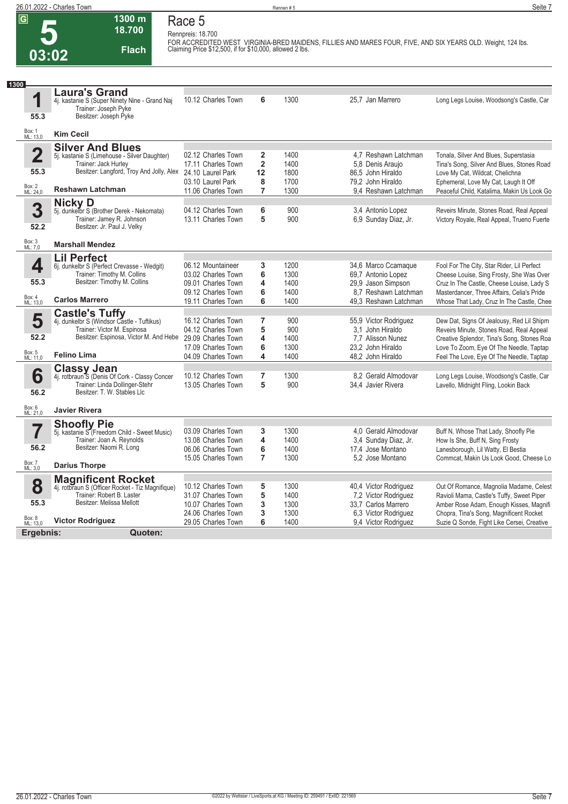## **5 03:02**

**Race 5 Rennpreis: 18.700**

**1300 m 18.700** 

**Flach**

**FOR ACCREDITED WEST VIRGINIA-BRED MAIDENS, FILLIES AND MARES FOUR, FIVE, AND SIX YEARS OLD. Weight, 124 lbs. Claiming Price \$12,500, if for \$10,000, allowed 2 lbs.** 

| 1300                    |                                                                                                                        |                                          |                              |              |                                               |                                                                                         |
|-------------------------|------------------------------------------------------------------------------------------------------------------------|------------------------------------------|------------------------------|--------------|-----------------------------------------------|-----------------------------------------------------------------------------------------|
| 1<br>55.3               | <b>Laura's Grand</b><br>4j. kastanie S (Super Ninety Nine - Grand Naj<br>Trainer: Joseph Pyke<br>Besitzer: Joseph Pyke | 10.12 Charles Town                       | 6                            | 1300         | 25.7 Jan Marrero                              | Long Legs Louise, Woodsong's Castle, Car                                                |
| Box: 1<br>ML: 13,0      | <b>Kim Cecil</b>                                                                                                       |                                          |                              |              |                                               |                                                                                         |
|                         | <b>Silver And Blues</b>                                                                                                |                                          |                              |              |                                               |                                                                                         |
| $\overline{\mathbf{2}}$ | 5j. kastanie S (Limehouse - Silver Daughter)                                                                           | 02.12 Charles Town                       | $\overline{\mathbf{2}}$      | 1400         | 4.7 Reshawn Latchman                          | Tonala, Silver And Blues, Superstasia                                                   |
| 55.3                    | Trainer: Jack Hurley<br>Besitzer: Langford, Troy And Jolly, Alex                                                       | 17.11 Charles Town                       | $\overline{2}$               | 1400         | 5.8 Denis Araujo                              | Tina's Song, Silver And Blues, Stones Road                                              |
|                         |                                                                                                                        | 24.10 Laurel Park<br>03.10 Laurel Park   | 12<br>8                      | 1800<br>1700 | 86.5 John Hiraldo<br>79.2 John Hiraldo        | Love My Cat, Wildcat, Chelichna<br>Ephemeral, Love My Cat, Laugh It Off                 |
| Box: 2<br>ML: 24,0      | <b>Reshawn Latchman</b>                                                                                                | 11.06 Charles Town                       | $\overline{7}$               | 1300         | 9.4 Reshawn Latchman                          | Peaceful Child, Katalima, Makin Us Look Go                                              |
|                         | <b>Nicky D</b>                                                                                                         |                                          |                              |              |                                               |                                                                                         |
| 3                       | 5j. dunkelbr S (Brother Derek - Nekomata)                                                                              | 04.12 Charles Town                       | 6                            | 900          | 3,4 Antonio Lopez                             | Reveirs Minute, Stones Road, Real Appeal                                                |
|                         | Trainer: Jamey R. Johnson                                                                                              | 13.11 Charles Town                       | 5                            | 900          | 6,9 Sunday Diaz, Jr.                          | Victory Royale, Real Appeal, Trueno Fuerte                                              |
| 52.2                    | Besitzer: Jr. Paul J. Velky                                                                                            |                                          |                              |              |                                               |                                                                                         |
| Box: 3<br>ML: 7,0       | <b>Marshall Mendez</b>                                                                                                 |                                          |                              |              |                                               |                                                                                         |
|                         | <b>Lil Perfect</b>                                                                                                     |                                          |                              |              |                                               |                                                                                         |
| 4                       | 6j. dunkelbr S (Perfect Crevasse - Wedgit)                                                                             | 06.12 Mountaineer                        | 3                            | 1200         | 34,6 Marco Ccamaque                           | Fool For The City, Star Rider, Lil Perfect                                              |
|                         | Trainer: Timothy M. Collins                                                                                            | 03.02 Charles Town                       | 6                            | 1300         | 69,7 Antonio Lopez                            | Cheese Louise, Sing Frosty, She Was Over                                                |
| 55.3                    | Besitzer: Timothy M. Collins                                                                                           | 09.01 Charles Town<br>09.12 Charles Town | $\overline{\mathbf{4}}$<br>6 | 1400<br>1400 | 29,9 Jason Simpson<br>8.7 Reshawn Latchman    | Cruz In The Castle, Cheese Louise, Lady S                                               |
| Box: 4<br>ML: 13,0      | <b>Carlos Marrero</b>                                                                                                  | 19.11 Charles Town                       | 6                            | 1400         | 49.3 Reshawn Latchman                         | Masterdancer, Three Affairs, Celia's Pride<br>Whose That Lady, Cruz In The Castle, Chee |
|                         |                                                                                                                        |                                          |                              |              |                                               |                                                                                         |
| 5                       | <b>Castle's Tuffy</b><br>4j. dunkelbr S (Windsor Castle - Tuftikus)                                                    | 16.12 Charles Town                       | $\overline{7}$               | 900          | 55,9 Victor Rodriguez                         | Dew Dat, Signs Of Jealousy, Red Lil Shipm                                               |
|                         | Trainer: Victor M. Espinosa                                                                                            | 04.12 Charles Town                       | 5                            | 900          | 3.1 John Hiraldo                              | Reveirs Minute, Stones Road, Real Appeal                                                |
| 52.2                    | Besitzer: Espinosa, Victor M. And Hebe                                                                                 | 29.09 Charles Town                       | $\overline{\mathbf{4}}$      | 1400         | 7,7 Alisson Nunez                             | Creative Splendor, Tina's Song, Stones Roa                                              |
|                         |                                                                                                                        | 17.09 Charles Town                       | 6                            | 1300         | 23.2 John Hiraldo                             | Love To Zoom, Eye Of The Needle, Taptap                                                 |
| Box: 5<br>ML: 11,0      | <b>Felino Lima</b>                                                                                                     | 04.09 Charles Town                       | 4                            | 1400         | 48.2 John Hiraldo                             | Feel The Love, Eye Of The Needle, Taptap                                                |
|                         | <b>Classy Jean</b>                                                                                                     |                                          |                              |              |                                               |                                                                                         |
| 6                       | 4j. rotbraun <sup>5</sup> S (Denis Of Cork - Classy Concer<br>Trainer: Linda Dollinger-Stehr                           | 10.12 Charles Town<br>13.05 Charles Town | $\overline{7}$<br>5          | 1300<br>900  | 8.2 Gerald Almodovar<br>34,4 Javier Rivera    | Long Legs Louise, Woodsong's Castle, Car<br>Lavello, Midnight Fling, Lookin Back        |
| 56.2                    | Besitzer: T. W. Stables Llc                                                                                            |                                          |                              |              |                                               |                                                                                         |
| Box: 6<br>ML: 21,0      | <b>Javier Rivera</b>                                                                                                   |                                          |                              |              |                                               |                                                                                         |
|                         |                                                                                                                        |                                          |                              |              |                                               |                                                                                         |
| 7                       | <b>Shoofly Pie</b><br>5j. kastanie S' (Freedom Child - Sweet Music)                                                    | 03.09 Charles Town                       | 3                            | 1300         | 4.0 Gerald Almodovar                          | Buff N, Whose That Lady, Shoofly Pie                                                    |
|                         | Trainer: Joan A. Reynolds                                                                                              | 13.08 Charles Town                       | 4                            | 1400         | 3,4 Sunday Diaz, Jr.                          | How Is She, Buff N, Sing Frosty                                                         |
| 56.2                    | Besitzer: Naomi R. Long                                                                                                | 06.06 Charles Town                       | 6                            | 1400         | 17,4 Jose Montano                             | Lanesborough, Lil Watty, El Bestia                                                      |
| Box: 7                  |                                                                                                                        | 15.05 Charles Town                       | $\overline{7}$               | 1300         | 5.2 Jose Montano                              | Commcat, Makin Us Look Good, Cheese Lo                                                  |
| ML: 3.0                 | <b>Darius Thorpe</b>                                                                                                   |                                          |                              |              |                                               |                                                                                         |
|                         | <b>Magnificent Rocket</b>                                                                                              |                                          |                              |              |                                               |                                                                                         |
| 8                       | 4j. rotbraun S (Officer Rocket - Tiz Magnifique)<br>Trainer: Robert B. Laster                                          | 10.12 Charles Town<br>31.07 Charles Town | 5<br>5                       | 1300<br>1400 | 40,4 Victor Rodriguez<br>7,2 Victor Rodriguez | Out Of Romance, Magnolia Madame, Celest                                                 |
| 55.3                    | Besitzer: Melissa Mellott                                                                                              | 10.07 Charles Town                       | 3                            | 1300         | 33.7 Carlos Marrero                           | Ravioli Mama, Castle's Tuffy, Sweet Piper<br>Amber Rose Adam, Enough Kisses, Magnifi    |
|                         |                                                                                                                        | 24.06 Charles Town                       | 3                            | 1300         | 6.3 Victor Rodriguez                          | Chopra, Tina's Song, Magnificent Rocket                                                 |
| Box: 8<br>ML: 13,0      | <b>Victor Rodriguez</b>                                                                                                | 29.05 Charles Town                       | 6                            | 1400         | 9,4 Victor Rodriguez                          | Suzie Q Sonde, Fight Like Cersei, Creative                                              |
| Ergebnis:               | Quoten:                                                                                                                |                                          |                              |              |                                               |                                                                                         |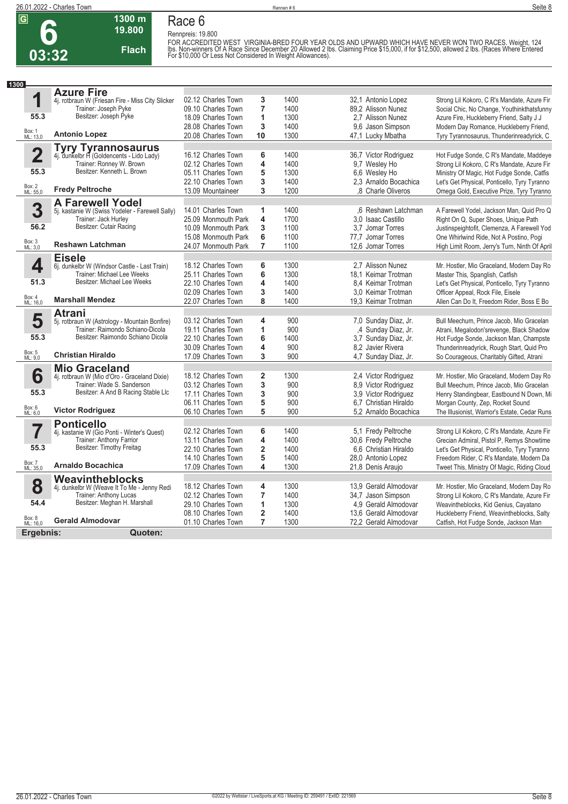**6**



**19.800 Flach**

**1300 m**

**Race 6 Rennpreis: 19.800** FOR ACCREDITED WEST\_VIRGINIA-BRED FOUR YEAR OLDS AND UPWARD WHICH HAVE NEVER WON TWO RACES. Weight, 124<br>Ibs. Non-winners Of A Race Since December 20 Allowed 2 Ibs. Claiming Price \$15,000, if for \$12,500, allowed 2 Ibs. (Ra

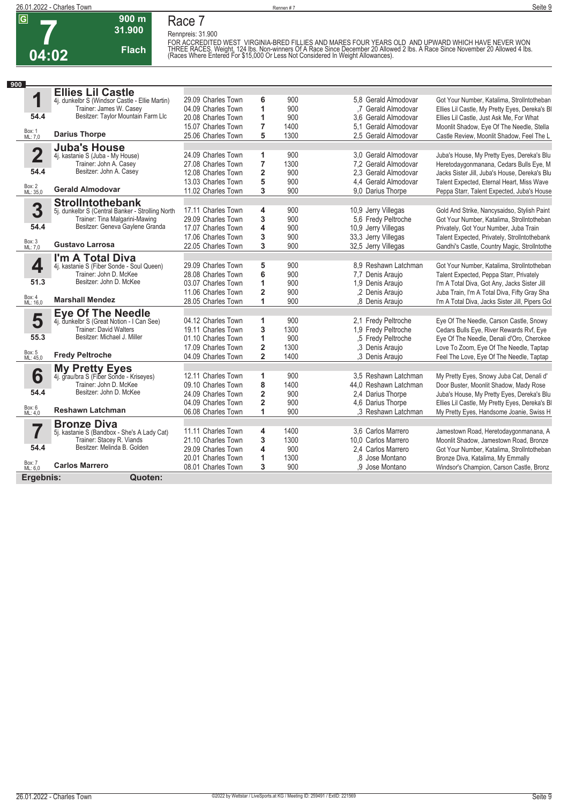

**Race 7**

**Rennpreis: 31.900**

**31.900 Flach**

**900 m**

FOR ACCREDITED WEST\_VIRGINIA-BRED FILLIES AND MARES FOUR YEARS OLD\_AND UPWARD WHICH HAVE NEVER WON<br>THREE RACES. Weight, 124 lbs. Non-winners Of A Race Since December 20 Allowed 2 lbs. A Race Since November 20 Allowed 4 lbs

| 900                     |                                                                |                    |                         |      |                       |                                                 |
|-------------------------|----------------------------------------------------------------|--------------------|-------------------------|------|-----------------------|-------------------------------------------------|
|                         | <b>Ellies Lil Castle</b>                                       |                    |                         |      |                       |                                                 |
| 1                       | 4j. dunkelbr S (Windsor Castle - Ellie Martin)                 | 29.09 Charles Town | 6                       | 900  | 5.8 Gerald Almodovar  | Got Your Number, Katalima, Strollntotheban      |
|                         | Trainer: James W. Casey                                        | 04.09 Charles Town | 1                       | 900  | .7 Gerald Almodovar   | Ellies Lil Castle, My Pretty Eyes, Dereka's BI  |
| 54.4                    | Besitzer: Taylor Mountain Farm Llc                             | 20.08 Charles Town | 1                       | 900  | 3.6 Gerald Almodovar  | Ellies Lil Castle, Just Ask Me, For What        |
|                         |                                                                | 15.07 Charles Town | 7                       | 1400 | 5.1 Gerald Almodovar  | Moonlit Shadow, Eye Of The Needle, Stella       |
| Box: 1<br>ML: 7,0       | <b>Darius Thorpe</b>                                           | 25.06 Charles Town | 5                       | 1300 | 2.5 Gerald Almodovar  | Castle Review, Moonlit Shadow, Feel The L       |
|                         | <b>Juba's House</b>                                            |                    |                         |      |                       |                                                 |
| $\overline{\mathbf{2}}$ | 4j. kastanie S (Juba - My House)                               | 24.09 Charles Town | 1                       | 900  | 3.0 Gerald Almodovar  | Juba's House, My Pretty Eyes, Dereka's Blu      |
|                         | Trainer: John A. Casey                                         | 27.08 Charles Town | $\overline{7}$          | 1300 | 7.2 Gerald Almodovar  | Heretodaygonmanana, Cedars Bulls Eye, M         |
| 54.4                    | Besitzer: John A. Casey                                        | 12.08 Charles Town | $\overline{\mathbf{c}}$ | 900  | 2.3 Gerald Almodovar  | Jacks Sister Jill, Juba's House, Dereka's Blu   |
|                         |                                                                | 13.03 Charles Town | 5                       | 900  | 4.4 Gerald Almodovar  | Talent Expected, Eternal Heart, Miss Wave       |
| Box: 2<br>ML: 35,0      | <b>Gerald Almodovar</b>                                        | 11.02 Charles Town | 3                       | 900  | 9.0 Darius Thorpe     | Peppa Starr, Talent Expected, Juba's House      |
|                         | <b>Strollntothebank</b>                                        |                    |                         |      |                       |                                                 |
| 3                       | 5j. dunkelbr S (Central Banker - Strolling North               | 17.11 Charles Town | 4                       | 900  | 10,9 Jerry Villegas   | Gold And Strike, Nancysaidso, Stylish Paint     |
|                         | Trainer: Tina Malgarini-Mawing                                 | 29.09 Charles Town | 3                       | 900  | 5.6 Fredy Peltroche   | Got Your Number, Katalima, Strollntotheban      |
| 54.4                    | Besitzer: Geneva Gaylene Granda                                | 17.07 Charles Town | 4                       | 900  | 10,9 Jerry Villegas   | Privately, Got Your Number, Juba Train          |
|                         |                                                                | 17.06 Charles Town | 3                       | 900  | 33,3 Jerry Villegas   | Talent Expected, Privately, Strollntothebank    |
| Box: 3<br>ML: 7,0       | <b>Gustavo Larrosa</b>                                         | 22.05 Charles Town | 3                       | 900  | 32,5 Jerry Villegas   | Gandhi's Castle, Country Magic, Strollntothe    |
|                         | I'm A Total Diva                                               |                    |                         |      |                       |                                                 |
| 4                       | 4j. kastanie S (Fiber Sonde - Soul Queen)                      | 29.09 Charles Town | 5                       | 900  | 8.9 Reshawn Latchman  | Got Your Number, Katalima, Strollntotheban      |
|                         | Trainer: John D. McKee                                         | 28.08 Charles Town | 6                       | 900  | 7,7 Denis Araujo      | Talent Expected, Peppa Starr, Privately         |
| 51.3                    | Besitzer: John D. McKee                                        | 03.07 Charles Town | 1                       | 900  | 1.9 Denis Arauio      | I'm A Total Diva, Got Any, Jacks Sister Jill    |
| Box: 4                  |                                                                | 11.06 Charles Town | 2                       | 900  | ,2 Denis Araujo       | Juba Train, I'm A Total Diva, Fifty Gray Sha    |
| ML: 16,0                | <b>Marshall Mendez</b>                                         | 28.05 Charles Town | 1                       | 900  | .8 Denis Araujo       | I'm A Total Diva, Jacks Sister Jill, Pipers Gol |
|                         | Eye Of The Needle<br>4j. dunkelbr S (Great Notion - I Can See) |                    |                         |      |                       |                                                 |
| 5                       |                                                                | 04.12 Charles Town | 1                       | 900  | 2,1 Fredy Peltroche   | Eye Of The Needle, Carson Castle, Snowy         |
|                         | Trainer: David Walters                                         | 19.11 Charles Town | 3                       | 1300 | 1.9 Fredy Peltroche   | Cedars Bulls Eye, River Rewards Rvf, Eye        |
| 55.3                    | Besitzer: Michael J. Miller                                    | 01.10 Charles Town | 1                       | 900  | 5 Fredy Peltroche     | Eye Of The Needle, Denali d'Oro, Cherokee       |
|                         |                                                                | 17.09 Charles Town | $\overline{\mathbf{2}}$ | 1300 | .3 Denis Araujo       | Love To Zoom, Eye Of The Needle, Taptap         |
| Box: 5<br>ML: 45,0      | <b>Fredy Peltroche</b>                                         | 04.09 Charles Town | $\overline{2}$          | 1400 | .3 Denis Araujo       | Feel The Love, Eye Of The Needle, Taptap        |
|                         | My Pretty Eyes<br>4j. grau/bra S (Fiber Sonde - Kriseyes)      |                    |                         |      |                       |                                                 |
| 6                       |                                                                | 12.11 Charles Town | 1                       | 900  | 3.5 Reshawn Latchman  | My Pretty Eyes, Snowy Juba Cat, Denali d'       |
|                         | Trainer: John D. McKee                                         | 09.10 Charles Town | 8                       | 1400 | 44.0 Reshawn Latchman | Door Buster, Moonlit Shadow, Mady Rose          |
| 54.4                    | Besitzer: John D. McKee                                        | 24.09 Charles Town | $\overline{\mathbf{2}}$ | 900  | 2.4 Darius Thorpe     | Juba's House, My Pretty Eyes, Dereka's Blu      |
|                         |                                                                | 04.09 Charles Town | $\overline{2}$          | 900  | 4.6 Darius Thorpe     | Ellies Lil Castle, My Pretty Eyes, Dereka's BI  |
| Box: 6<br>ML: 4,0       | <b>Reshawn Latchman</b>                                        | 06.08 Charles Town | 1                       | 900  | .3 Reshawn Latchman   | My Pretty Eyes, Handsome Joanie, Swiss H        |
|                         | <b>Bronze Diva</b>                                             |                    |                         |      |                       |                                                 |
|                         | 5j. kastanie S (Bandbox - She's A Lady Cat)                    | 11.11 Charles Town | 4                       | 1400 | 3.6 Carlos Marrero    | Jamestown Road, Heretodaygonmanana, A           |
|                         | Trainer: Stacey R. Viands                                      | 21.10 Charles Town | 3                       | 1300 | 10,0 Carlos Marrero   | Moonlit Shadow, Jamestown Road, Bronze          |
| 54.4                    | Besitzer: Melinda B. Golden                                    | 29.09 Charles Town | 4                       | 900  | 2.4 Carlos Marrero    | Got Your Number, Katalima, Strollntotheban      |
|                         |                                                                | 20.01 Charles Town | 1                       | 1300 | .8 Jose Montano       | Bronze Diva, Katalima, My Emmally               |
| Box: 7<br>ML: 6,0       | <b>Carlos Marrero</b>                                          | 08.01 Charles Town | 3                       | 900  | .9 Jose Montano       | Windsor's Champion, Carson Castle, Bronz        |
| Ergebnis:               | Quoten:                                                        |                    |                         |      |                       |                                                 |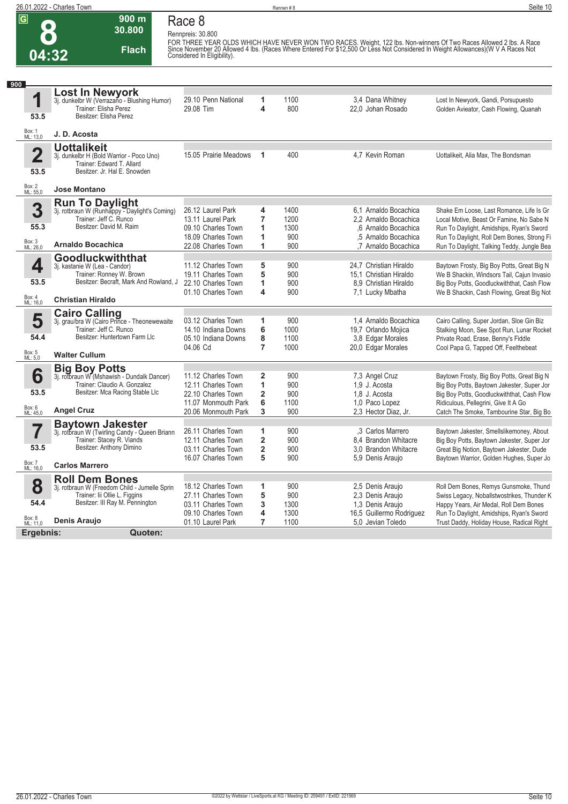**26.01.2022 - Charles Town** Rennen # 8 **Seite 10**

**8**

**Race 8**

**Rennpreis: 30.800**

**900 m 30.800** 

**Flach**



FOR THREE YEAR OLDS WHICH HAVE NEVER WON TWO RACES. Weight, 122 lbs. Non-winners Of Two Races Allowed 2 lbs. A Race<br>Since November 20 Allowed 4 lbs. (Races Where Entered For \$12,500 Or Less Not Considered In Weight Allowan

| 900                             |                                                                                                                                                            |                                                                                                              |                                                     |                                    |                                                                                                                        |                                                                                                                                                                                                                              |
|---------------------------------|------------------------------------------------------------------------------------------------------------------------------------------------------------|--------------------------------------------------------------------------------------------------------------|-----------------------------------------------------|------------------------------------|------------------------------------------------------------------------------------------------------------------------|------------------------------------------------------------------------------------------------------------------------------------------------------------------------------------------------------------------------------|
| 1<br>53.5                       | <b>Lost In Newyork</b><br>3j. dunkelbr W (Verrazano - Blushing Humor)<br>Trainer: Elisha Perez<br>Besitzer: Elisha Perez                                   | 29.10 Penn National<br>29.08 Tim                                                                             | 1<br>4                                              | 1100<br>800                        | 3.4 Dana Whitney<br>22,0 Johan Rosado                                                                                  | Lost In Newyork, Gandi, Porsupuesto<br>Golden Avieator, Cash Flowing, Quanah                                                                                                                                                 |
| Box: 1<br>ML: 13,0              | J. D. Acosta                                                                                                                                               |                                                                                                              |                                                     |                                    |                                                                                                                        |                                                                                                                                                                                                                              |
| $\overline{\mathbf{2}}$<br>53.5 | <b>Uottalikeit</b><br>3j. dunkelbr H (Bold Warrior - Poco Uno)<br>Trainer: Edward T. Allard<br>Besitzer: Jr. Hal E. Snowden                                | 15.05 Prairie Meadows                                                                                        | 1                                                   | 400                                | 4.7 Kevin Roman                                                                                                        | Uottalikeit, Alia Max, The Bondsman                                                                                                                                                                                          |
| Box: 2<br>ML: 55,0              | <b>Jose Montano</b>                                                                                                                                        |                                                                                                              |                                                     |                                    |                                                                                                                        |                                                                                                                                                                                                                              |
| 3<br>55.3<br>Box: 3<br>ML: 26,0 | <b>Run To Daylight</b><br>3j. rotbraun W (Runhappy - Daylight's Coming)<br>Trainer: Jeff C. Runco<br>Besitzer: David M. Raim<br><b>Arnaldo Bocachica</b>   | 26.12 Laurel Park<br>13.11 Laurel Park<br>09.10 Charles Town<br>18.09 Charles Town<br>22.08 Charles Town     | 4<br>7<br>1<br>1<br>1                               | 1400<br>1200<br>1300<br>900<br>900 | 6.1 Arnaldo Bocachica<br>2.2 Arnaldo Bocachica<br>.6 Arnaldo Bocachica<br>.5 Arnaldo Bocachica<br>,7 Arnaldo Bocachica | Shake Em Loose, Last Romance, Life Is Gr<br>Local Motive, Beast Or Famine, No Sabe N<br>Run To Daylight, Amidships, Ryan's Sword<br>Run To Daylight, Roll Dem Bones, Strong Fi<br>Run To Daylight, Talking Teddy, Jungle Bea |
|                                 | Goodluckwiththat                                                                                                                                           |                                                                                                              |                                                     |                                    |                                                                                                                        |                                                                                                                                                                                                                              |
| 4<br>53.5                       | 3j. kastanie W (Lea - Candor)<br>Trainer: Ronney W. Brown<br>Besitzer: Becraft, Mark And Rowland, J                                                        | 11.12 Charles Town<br>19.11 Charles Town<br>22.10 Charles Town<br>01.10 Charles Town                         | 5<br>5<br>1<br>4                                    | 900<br>900<br>900<br>900           | 24.7 Christian Hiraldo<br>15.1 Christian Hiraldo<br>8.9 Christian Hiraldo<br>7,1 Lucky Mbatha                          | Baytown Frosty, Big Boy Potts, Great Big N<br>We B Shackin, Windsors Tail, Cajun Invasio<br>Big Boy Potts, Goodluckwiththat, Cash Flow<br>We B Shackin, Cash Flowing, Great Big Not                                          |
| Box: 4<br>ML: 16,0              | <b>Christian Hiraldo</b>                                                                                                                                   |                                                                                                              |                                                     |                                    |                                                                                                                        |                                                                                                                                                                                                                              |
| 5<br>54.4<br>Box: 5<br>ML: 5,0  | <b>Cairo Calling</b><br>3j. grau/bra W (Cairo Prince - Theonewewaite<br>Trainer: Jeff C. Runco<br>Besitzer: Huntertown Farm Llc<br><b>Walter Cullum</b>    | 03.12 Charles Town<br>14.10 Indiana Downs<br>05.10 Indiana Downs<br>04.06 Cd                                 | 1<br>6<br>8<br>$\overline{7}$                       | 900<br>1000<br>1100<br>1000        | 1.4 Arnaldo Bocachica<br>19,7 Orlando Mojica<br>3,8 Edgar Morales<br>20,0 Edgar Morales                                | Cairo Calling, Super Jordan, Sloe Gin Biz<br>Stalking Moon, See Spot Run, Lunar Rocket<br>Private Road, Erase, Benny's Fiddle<br>Cool Papa G, Tapped Off, Feelthebeat                                                        |
|                                 |                                                                                                                                                            |                                                                                                              |                                                     |                                    |                                                                                                                        |                                                                                                                                                                                                                              |
| 6<br>53.5<br>Box: 6<br>ML: 45,0 | <b>Big Boy Potts</b><br>3j. rotbraun W (Mshawish - Dundalk Dancer)<br>Trainer: Claudio A. Gonzalez<br>Besitzer: Mca Racing Stable Llc<br><b>Angel Cruz</b> | 11.12 Charles Town<br>12.11 Charles Town<br>22.10 Charles Town<br>11.07 Monmouth Park<br>20.06 Monmouth Park | $\overline{2}$<br>1<br>$\overline{2}$<br>6<br>3     | 900<br>900<br>900<br>1100<br>900   | 7,3 Angel Cruz<br>1.9 J. Acosta<br>1,8 J. Acosta<br>1.0 Paco Lopez<br>2.3 Hector Diaz, Jr.                             | Baytown Frosty, Big Boy Potts, Great Big N<br>Big Boy Potts, Baytown Jakester, Super Jor<br>Big Boy Potts, Goodluckwiththat, Cash Flow<br>Ridiculous, Pellegrini, Give It A Go<br>Catch The Smoke, Tambourine Star, Big Bo   |
|                                 | <b>Baytown Jakester</b>                                                                                                                                    |                                                                                                              |                                                     |                                    |                                                                                                                        |                                                                                                                                                                                                                              |
| 53.5                            | 3j. rotbraun W (Twirling Candy - Queen Briann<br>Trainer: Stacey R. Viands<br>Besitzer: Anthony Dimino                                                     | 26.11 Charles Town<br>12.11 Charles Town<br>03.11 Charles Town<br>16.07 Charles Town                         | 1<br>$\overline{\mathbf{2}}$<br>$\overline{2}$<br>5 | 900<br>900<br>900<br>900           | .3 Carlos Marrero<br>8.4 Brandon Whitacre<br>3.0 Brandon Whitacre<br>5.9 Denis Araujo                                  | Baytown Jakester, Smellslikemoney, About<br>Big Boy Potts, Baytown Jakester, Super Jor<br>Great Big Notion, Baytown Jakester, Dude<br>Baytown Warrior, Golden Hughes, Super Jo                                               |
| Box: 7<br>ML: 16,0              | <b>Carlos Marrero</b>                                                                                                                                      |                                                                                                              |                                                     |                                    |                                                                                                                        |                                                                                                                                                                                                                              |
| 8<br>54.4                       | <b>Roll Dem Bones</b><br>3j. rotbraun W (Freedom Child - Jumelle Sprin<br>Trainer: lii Ollie L. Figgins<br>Besitzer: III Ray M. Pennington                 | 18.12 Charles Town<br>27.11 Charles Town<br>03.11 Charles Town<br>09.10 Charles Town                         | 1<br>5<br>3<br>4                                    | 900<br>900<br>1300<br>1300         | 2,5 Denis Araujo<br>2,3 Denis Araujo<br>1.3 Denis Araujo<br>16,5 Guillermo Rodriguez                                   | Roll Dem Bones, Remys Gunsmoke, Thund<br>Swiss Legacy, Noballstwostrikes, Thunder K<br>Happy Years, Air Medal, Roll Dem Bones<br>Run To Daylight, Amidships, Ryan's Sword                                                    |
| Box: 8<br>ML: 11,0              | Denis Araujo                                                                                                                                               | 01.10 Laurel Park                                                                                            | $\overline{7}$                                      | 1100                               | 5.0 Jevian Toledo                                                                                                      | Trust Daddy, Holiday House, Radical Right                                                                                                                                                                                    |
| Ergebnis:                       | Quoten:                                                                                                                                                    |                                                                                                              |                                                     |                                    |                                                                                                                        |                                                                                                                                                                                                                              |